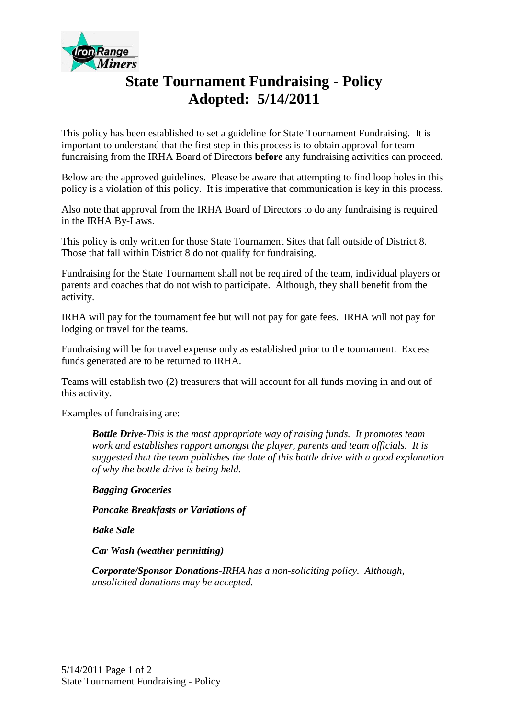

## **State Tournament Fundraising - Policy Adopted: 5/14/2011**

This policy has been established to set a guideline for State Tournament Fundraising. It is important to understand that the first step in this process is to obtain approval for team fundraising from the IRHA Board of Directors **before** any fundraising activities can proceed.

Below are the approved guidelines. Please be aware that attempting to find loop holes in this policy is a violation of this policy. It is imperative that communication is key in this process.

Also note that approval from the IRHA Board of Directors to do any fundraising is required in the IRHA By-Laws.

This policy is only written for those State Tournament Sites that fall outside of District 8. Those that fall within District 8 do not qualify for fundraising.

Fundraising for the State Tournament shall not be required of the team, individual players or parents and coaches that do not wish to participate. Although, they shall benefit from the activity.

IRHA will pay for the tournament fee but will not pay for gate fees. IRHA will not pay for lodging or travel for the teams.

Fundraising will be for travel expense only as established prior to the tournament. Excess funds generated are to be returned to IRHA.

Teams will establish two (2) treasurers that will account for all funds moving in and out of this activity.

Examples of fundraising are:

*Bottle Drive-This is the most appropriate way of raising funds. It promotes team work and establishes rapport amongst the player, parents and team officials. It is suggested that the team publishes the date of this bottle drive with a good explanation of why the bottle drive is being held.*

*Bagging Groceries*

*Pancake Breakfasts or Variations of*

*Bake Sale*

*Car Wash (weather permitting)*

*Corporate/Sponsor Donations-IRHA has a non-soliciting policy. Although, unsolicited donations may be accepted.*